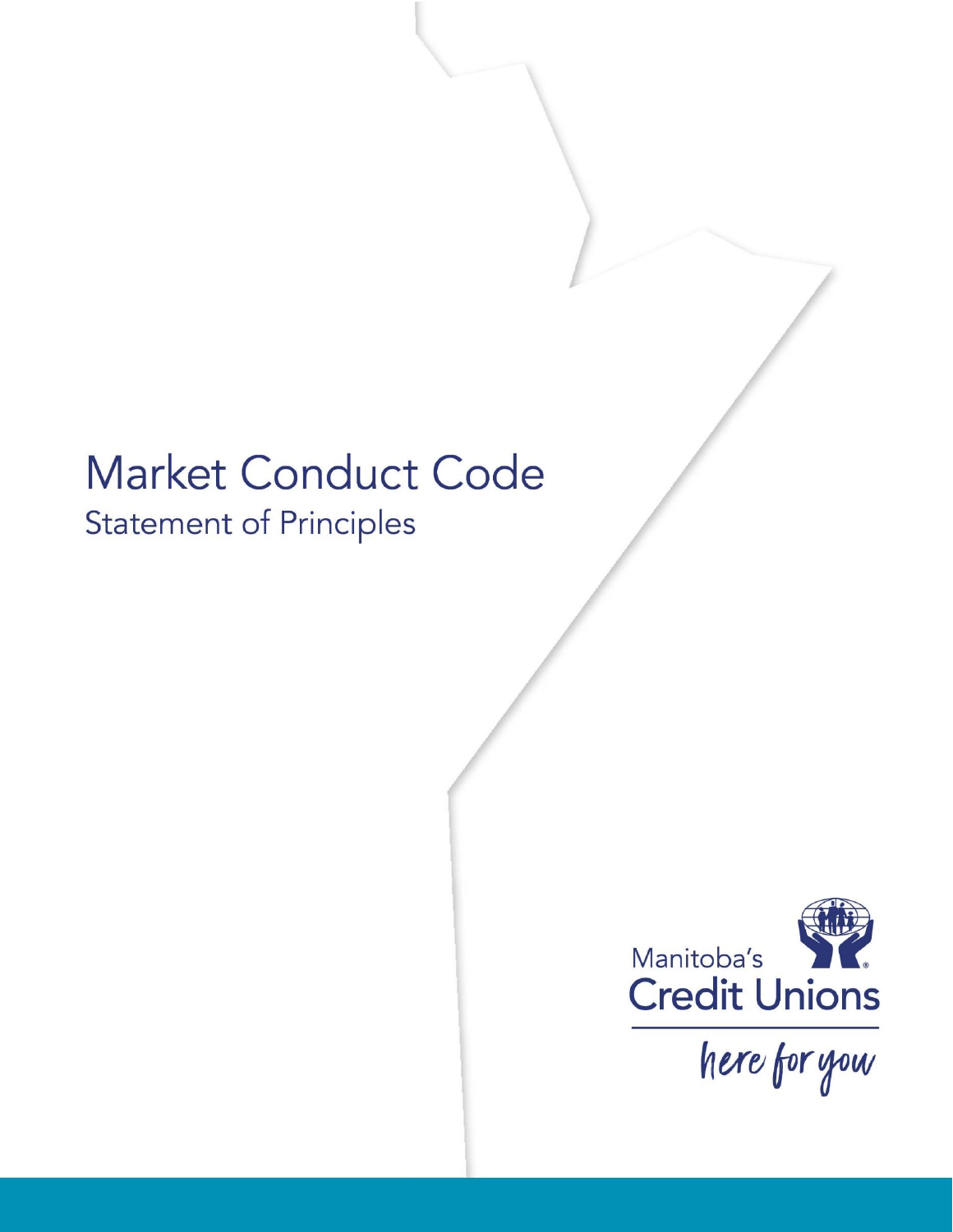# **Market Conduct Code Statement of Principles**



here for you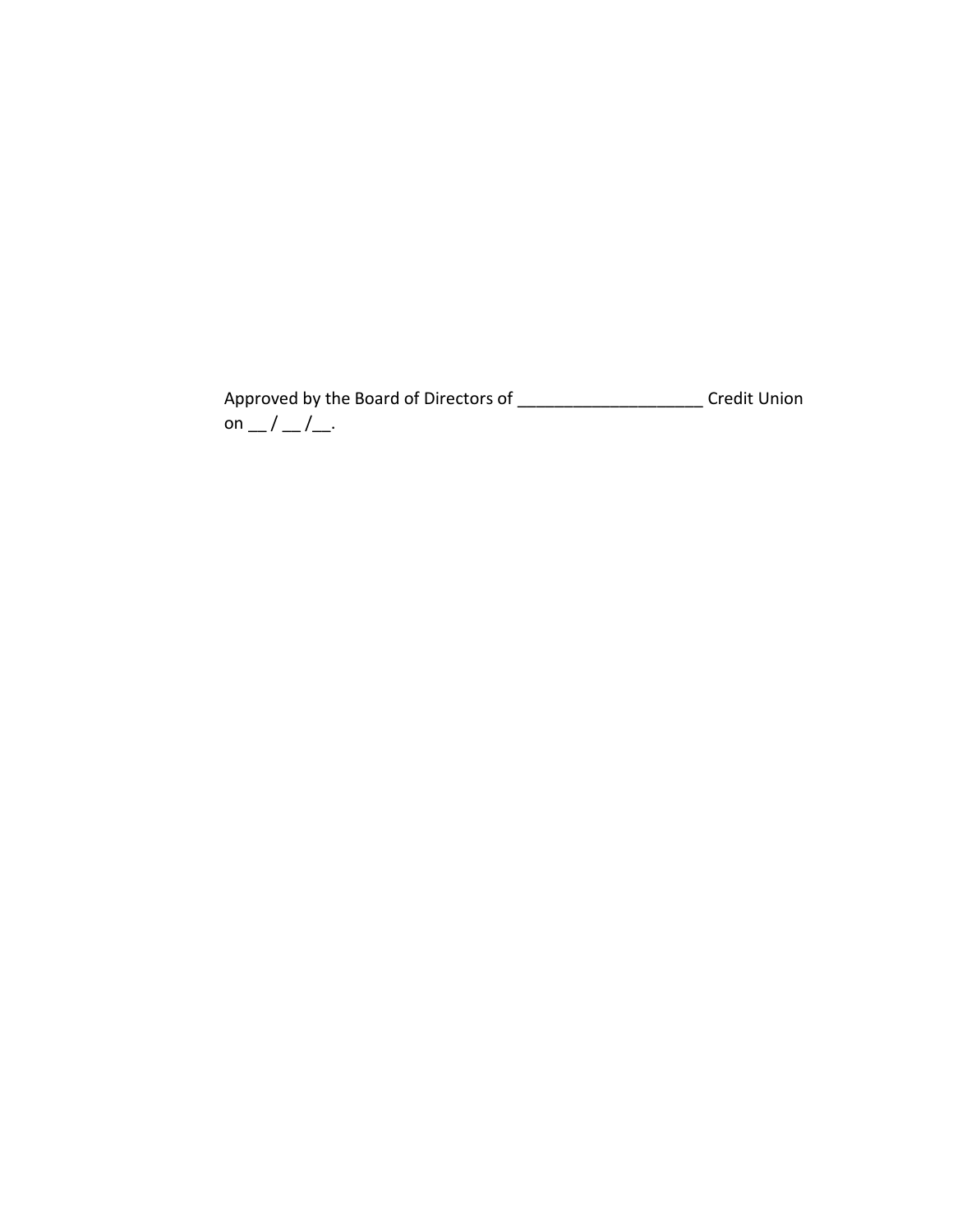Approved by the Board of Directors of \_\_\_\_\_\_\_\_\_\_\_\_\_\_\_\_\_\_\_\_\_\_\_\_\_\_Credit Union on  $\_\,\_\,\_\,\_\,\_\,\_\,\_\$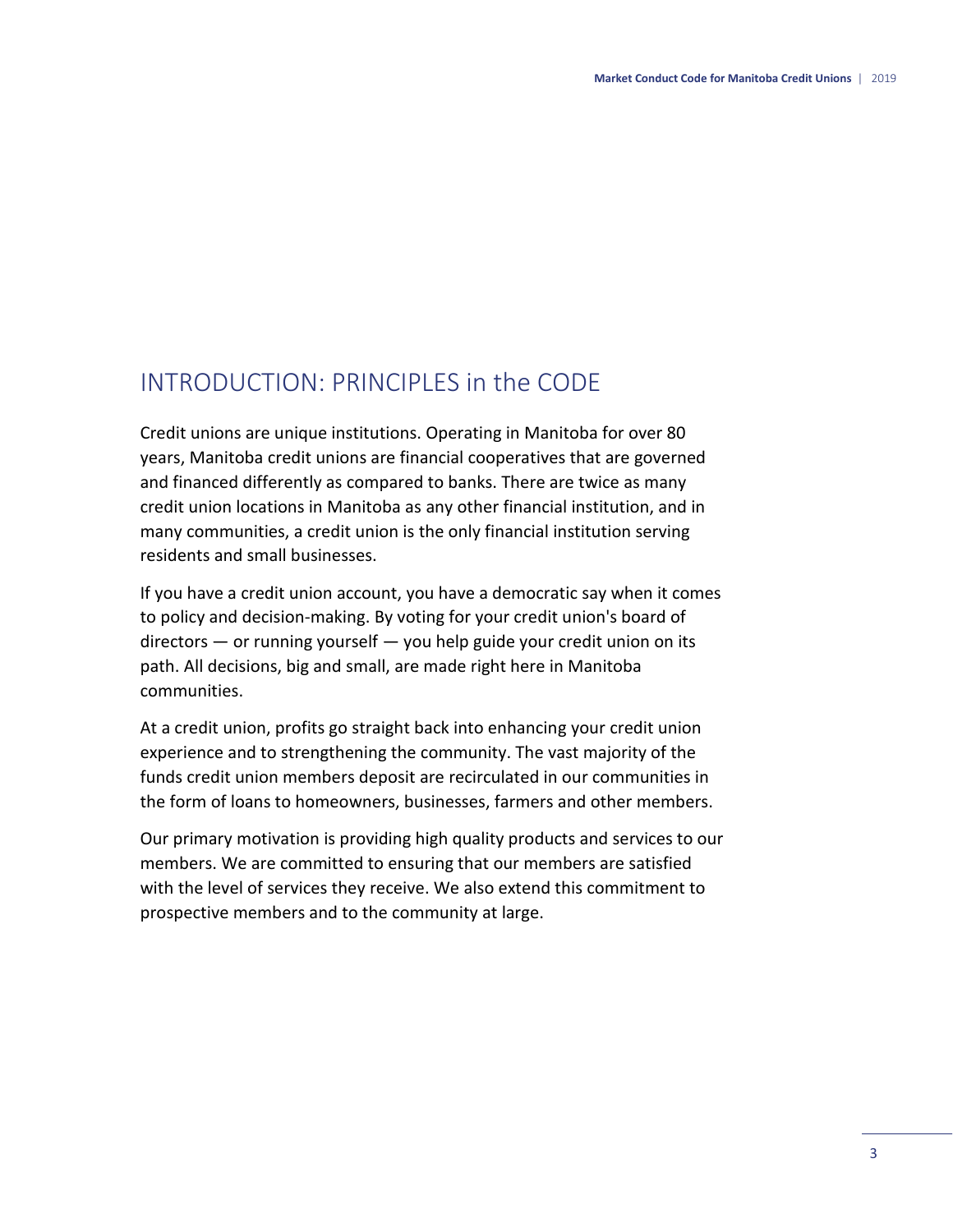# INTRODUCTION: PRINCIPLES in the CODE

Credit unions are unique institutions. Operating in Manitoba for over 80 years, Manitoba credit unions are financial cooperatives that are governed and financed differently as compared to banks. There are twice as many credit union locations in Manitoba as any other financial institution, and in many communities, a credit union is the only financial institution serving residents and small businesses.

If you have a credit union account, you have a democratic say when it comes to policy and decision-making. By voting for your credit union's board of directors — or running yourself — you help guide your credit union on its path. All decisions, big and small, are made right here in Manitoba communities.

At a credit union, profits go straight back into enhancing your credit union experience and to strengthening the community. The vast majority of the funds credit union members deposit are recirculated in our communities in the form of loans to homeowners, businesses, farmers and other members.

Our primary motivation is providing high quality products and services to our members. We are committed to ensuring that our members are satisfied with the level of services they receive. We also extend this commitment to prospective members and to the community at large.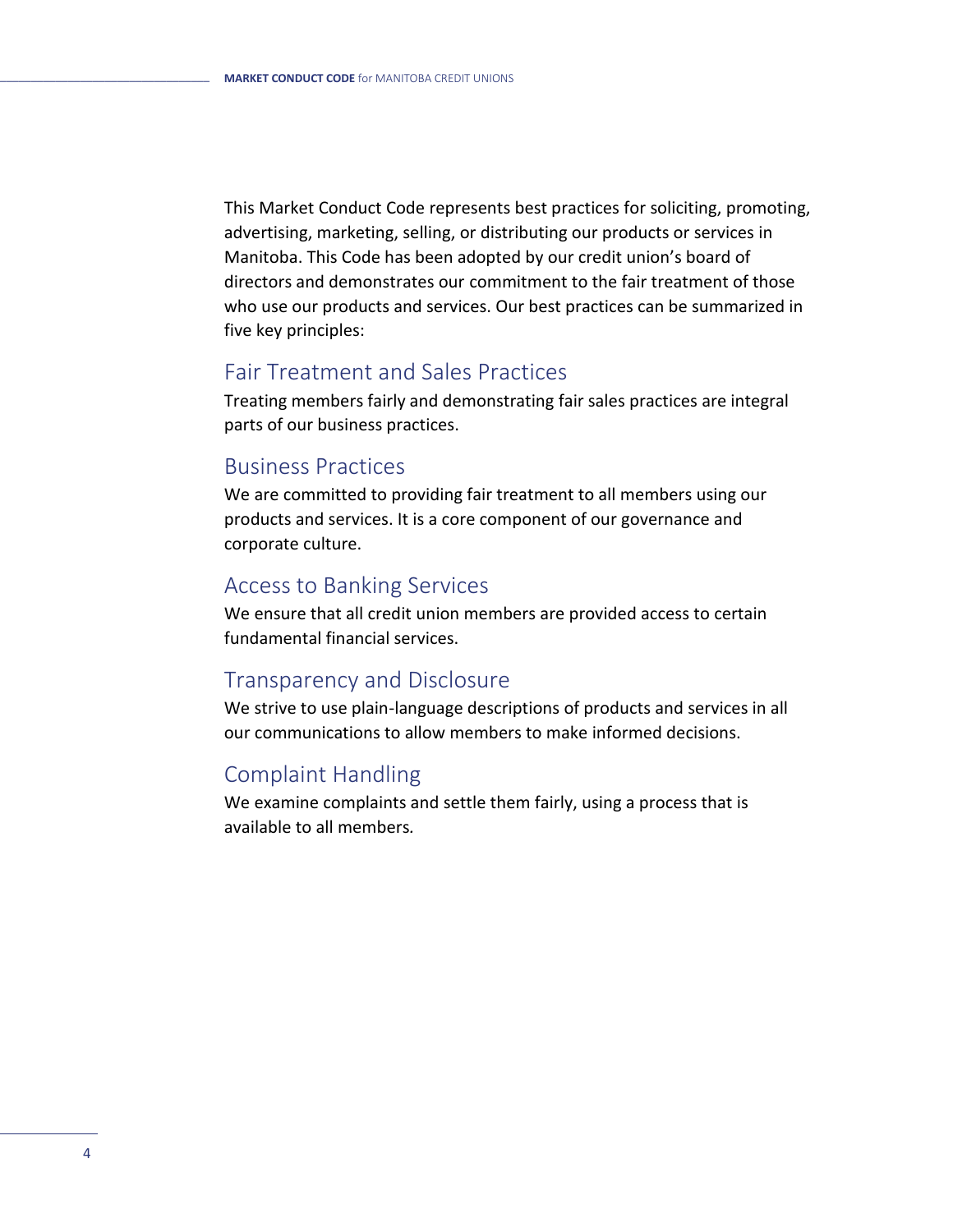This Market Conduct Code represents best practices for soliciting, promoting, advertising, marketing, selling, or distributing our products or services in Manitoba. This Code has been adopted by our credit union's board of directors and demonstrates our commitment to the fair treatment of those who use our products and services. Our best practices can be summarized in five key principles:

### Fair Treatment and Sales Practices

Treating members fairly and demonstrating fair sales practices are integral parts of our business practices.

### Business Practices

We are committed to providing fair treatment to all members using our products and services. It is a core component of our governance and corporate culture.

### Access to Banking Services

We ensure that all credit union members are provided access to certain fundamental financial services.

### Transparency and Disclosure

We strive to use plain-language descriptions of products and services in all our communications to allow members to make informed decisions.

### Complaint Handling

We examine complaints and settle them fairly, using a process that is available to all members*.*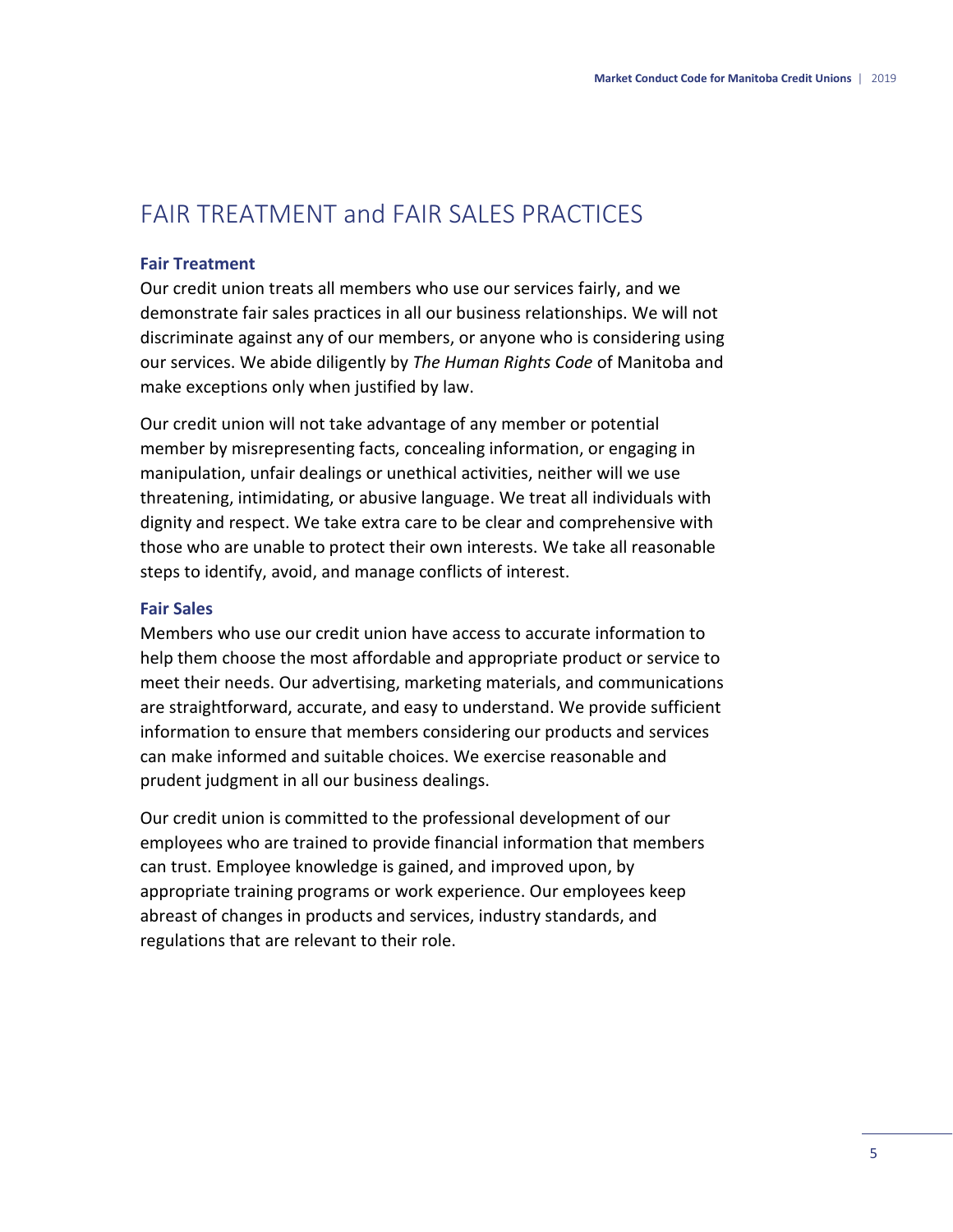# FAIR TREATMENT and FAIR SALES PRACTICES

### **Fair Treatment**

Our credit union treats all members who use our services fairly, and we demonstrate fair sales practices in all our business relationships. We will not discriminate against any of our members, or anyone who is considering using our services. We abide diligently by *The Human Rights Code* of Manitoba and make exceptions only when justified by law.

Our credit union will not take advantage of any member or potential member by misrepresenting facts, concealing information, or engaging in manipulation, unfair dealings or unethical activities, neither will we use threatening, intimidating, or abusive language. We treat all individuals with dignity and respect. We take extra care to be clear and comprehensive with those who are unable to protect their own interests. We take all reasonable steps to identify, avoid, and manage conflicts of interest.

### **Fair Sales**

Members who use our credit union have access to accurate information to help them choose the most affordable and appropriate product or service to meet their needs. Our advertising, marketing materials, and communications are straightforward, accurate, and easy to understand. We provide sufficient information to ensure that members considering our products and services can make informed and suitable choices. We exercise reasonable and prudent judgment in all our business dealings.

Our credit union is committed to the professional development of our employees who are trained to provide financial information that members can trust. Employee knowledge is gained, and improved upon, by appropriate training programs or work experience. Our employees keep abreast of changes in products and services, industry standards, and regulations that are relevant to their role.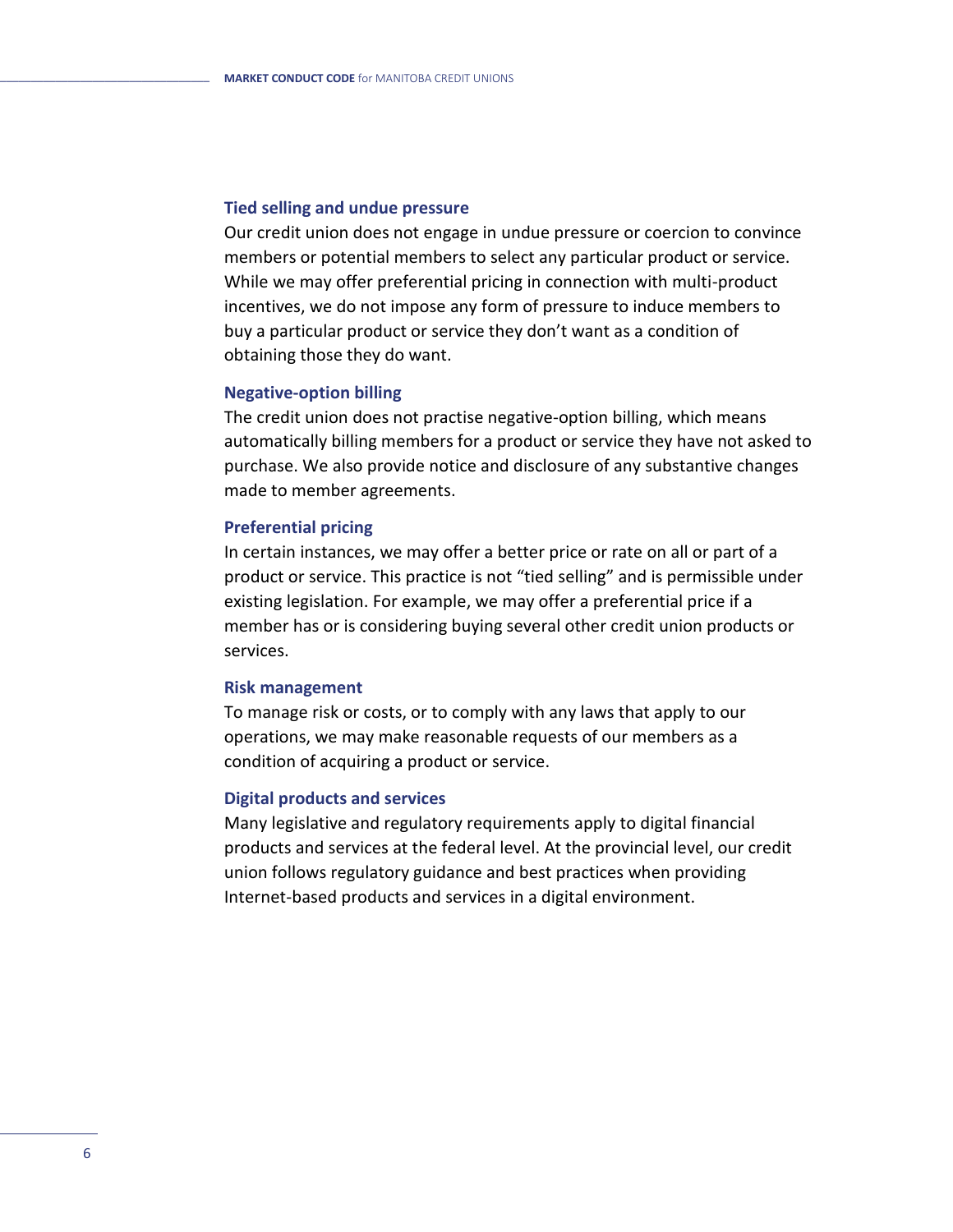#### **Tied selling and undue pressure**

Our credit union does not engage in undue pressure or coercion to convince members or potential members to select any particular product or service. While we may offer preferential pricing in connection with multi-product incentives, we do not impose any form of pressure to induce members to buy a particular product or service they don't want as a condition of obtaining those they do want.

#### **Negative-option billing**

The credit union does not practise negative-option billing, which means automatically billing members for a product or service they have not asked to purchase. We also provide notice and disclosure of any substantive changes made to member agreements.

#### **Preferential pricing**

In certain instances, we may offer a better price or rate on all or part of a product or service. This practice is not "tied selling" and is permissible under existing legislation. For example, we may offer a preferential price if a member has or is considering buying several other credit union products or services.

#### **Risk management**

To manage risk or costs, or to comply with any laws that apply to our operations, we may make reasonable requests of our members as a condition of acquiring a product or service.

### **Digital products and services**

Many legislative and regulatory requirements apply to digital financial products and services at the federal level. At the provincial level, our credit union follows regulatory guidance and best practices when providing Internet-based products and services in a digital environment.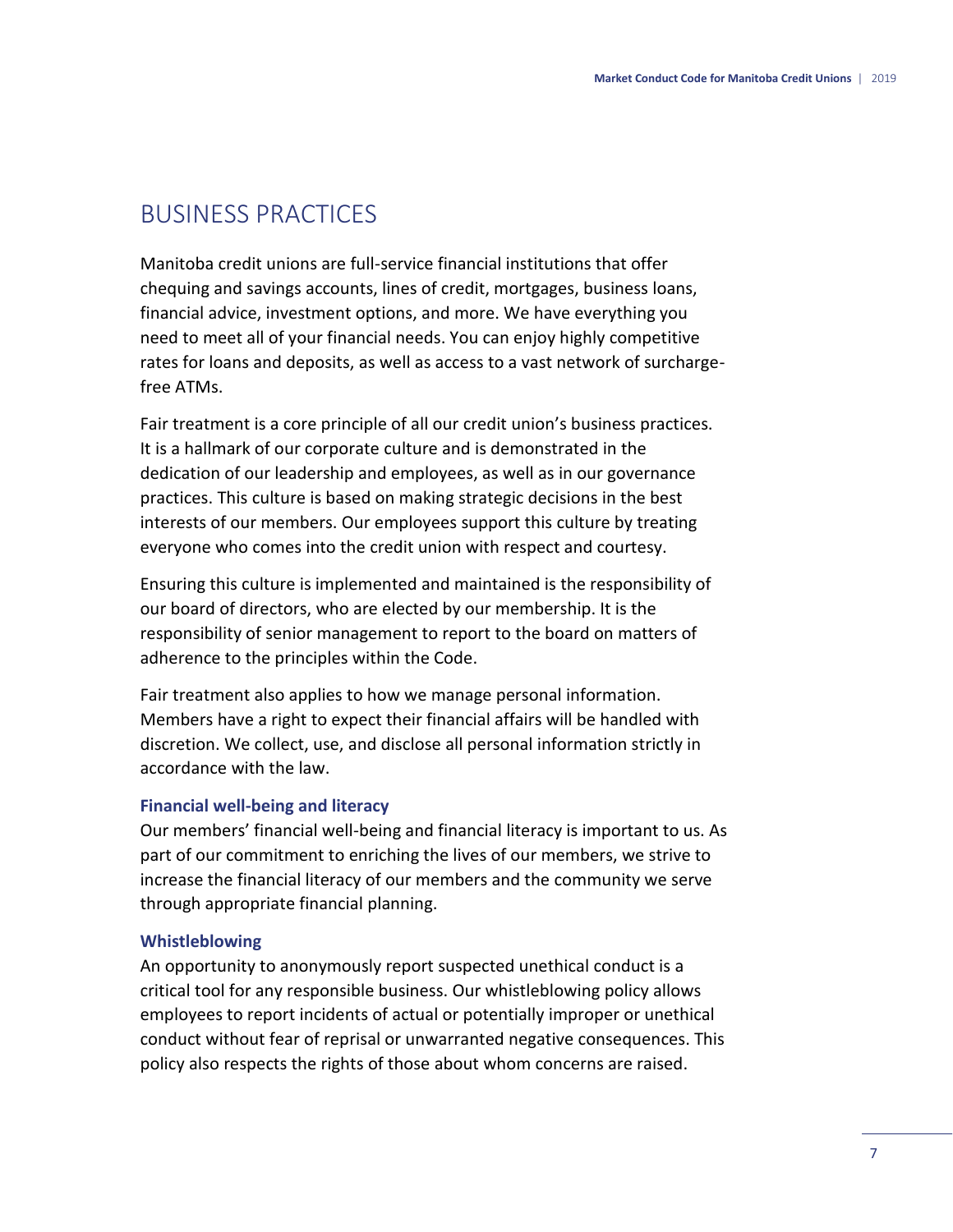## BUSINESS PRACTICES

Manitoba credit unions are full-service financial institutions that offer chequing and savings accounts, lines of credit, mortgages, business loans, financial advice, investment options, and more. We have everything you need to meet all of your financial needs. You can enjoy highly competitive rates for loans and deposits, as well as access to a vast network of surchargefree ATMs.

Fair treatment is a core principle of all our credit union's business practices. It is a hallmark of our corporate culture and is demonstrated in the dedication of our leadership and employees, as well as in our governance practices. This culture is based on making strategic decisions in the best interests of our members. Our employees support this culture by treating everyone who comes into the credit union with respect and courtesy.

Ensuring this culture is implemented and maintained is the responsibility of our board of directors, who are elected by our membership. It is the responsibility of senior management to report to the board on matters of adherence to the principles within the Code.

Fair treatment also applies to how we manage personal information. Members have a right to expect their financial affairs will be handled with discretion. We collect, use, and disclose all personal information strictly in accordance with the law.

### **Financial well-being and literacy**

Our members' financial well-being and financial literacy is important to us. As part of our commitment to enriching the lives of our members, we strive to increase the financial literacy of our members and the community we serve through appropriate financial planning.

### **Whistleblowing**

An opportunity to anonymously report suspected unethical conduct is a critical tool for any responsible business. Our whistleblowing policy allows employees to report incidents of actual or potentially improper or unethical conduct without fear of reprisal or unwarranted negative consequences. This policy also respects the rights of those about whom concerns are raised.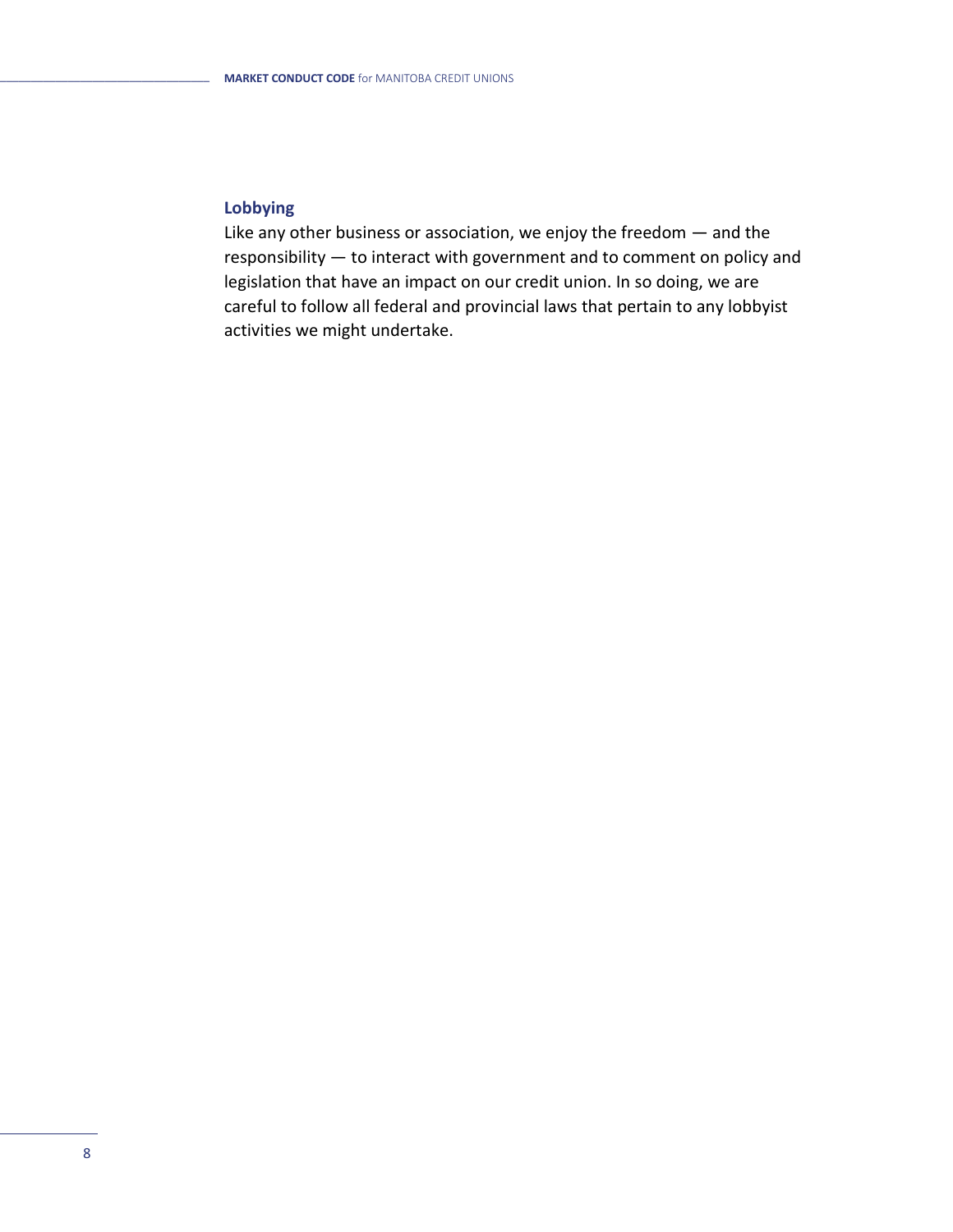### **Lobbying**

Like any other business or association, we enjoy the freedom — and the responsibility — to interact with government and to comment on policy and legislation that have an impact on our credit union. In so doing, we are careful to follow all federal and provincial laws that pertain to any lobbyist activities we might undertake.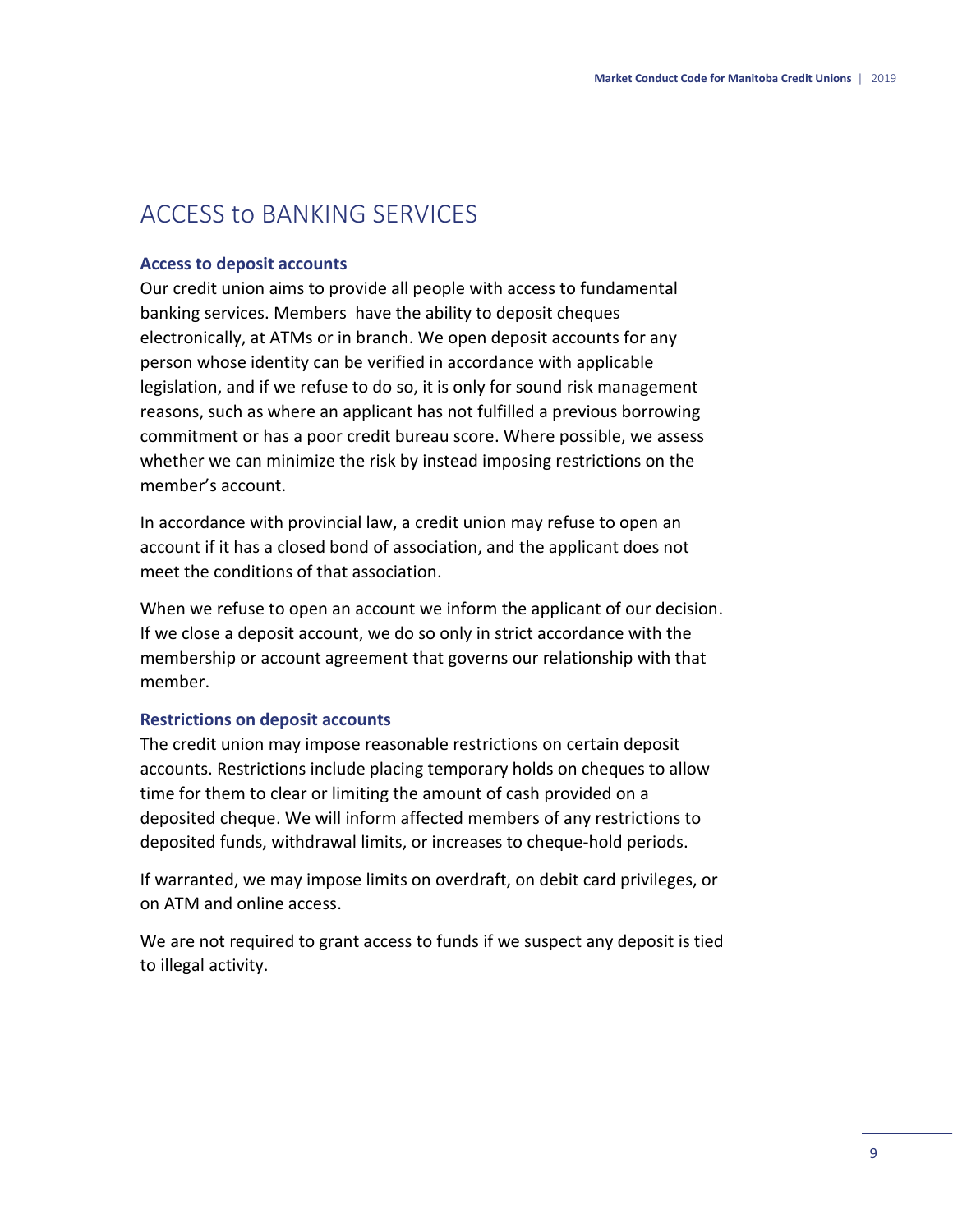# ACCESS to BANKING SERVICES

### **Access to deposit accounts**

Our credit union aims to provide all people with access to fundamental banking services. Members have the ability to deposit cheques electronically, at ATMs or in branch. We open deposit accounts for any person whose identity can be verified in accordance with applicable legislation, and if we refuse to do so, it is only for sound risk management reasons, such as where an applicant has not fulfilled a previous borrowing commitment or has a poor credit bureau score. Where possible, we assess whether we can minimize the risk by instead imposing restrictions on the member's account.

In accordance with provincial law, a credit union may refuse to open an account if it has a closed bond of association, and the applicant does not meet the conditions of that association.

When we refuse to open an account we inform the applicant of our decision. If we close a deposit account, we do so only in strict accordance with the membership or account agreement that governs our relationship with that member.

### **Restrictions on deposit accounts**

The credit union may impose reasonable restrictions on certain deposit accounts. Restrictions include placing temporary holds on cheques to allow time for them to clear or limiting the amount of cash provided on a deposited cheque. We will inform affected members of any restrictions to deposited funds, withdrawal limits, or increases to cheque-hold periods.

If warranted, we may impose limits on overdraft, on debit card privileges, or on ATM and online access.

We are not required to grant access to funds if we suspect any deposit is tied to illegal activity.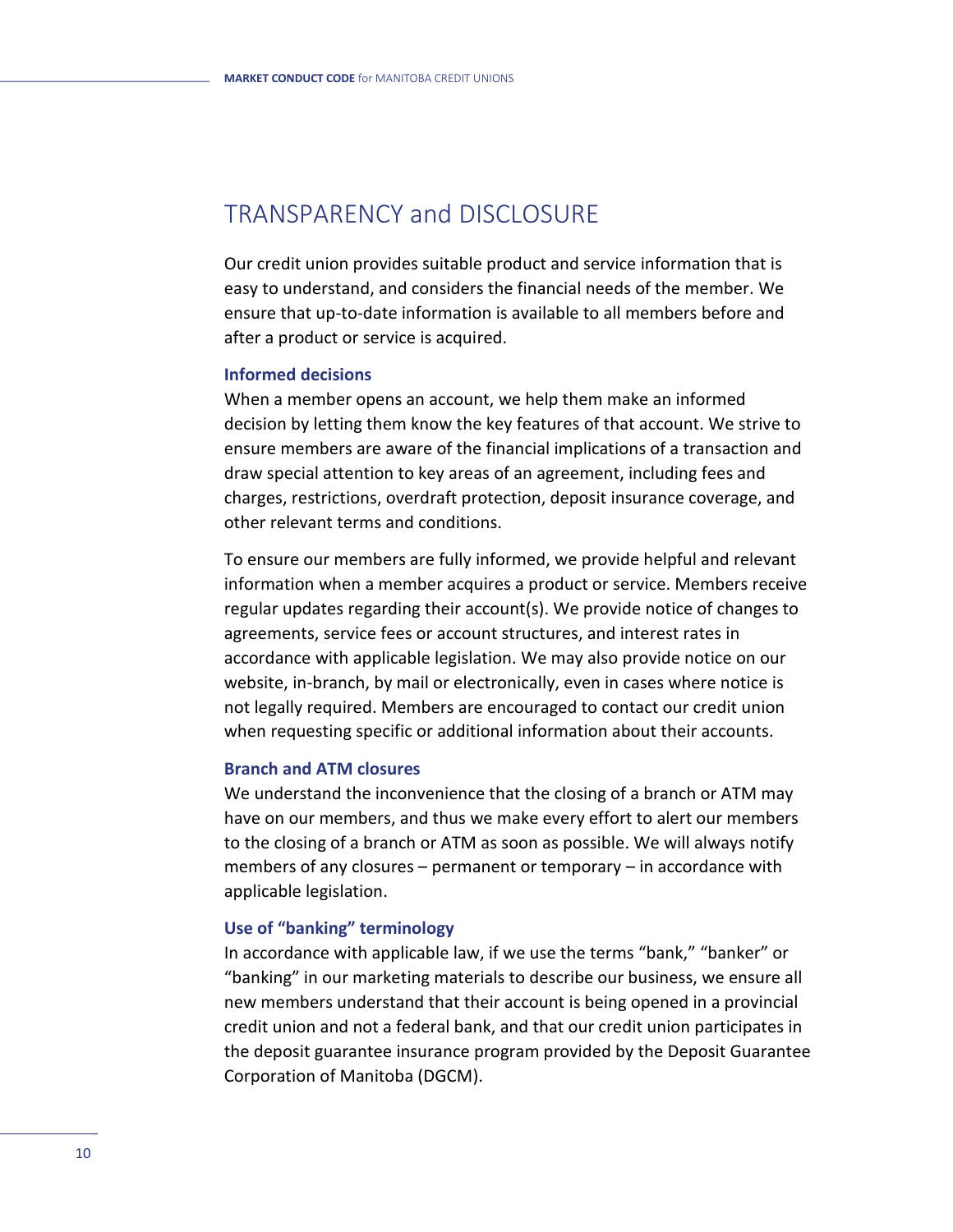# TRANSPARENCY and DISCLOSURE

Our credit union provides suitable product and service information that is easy to understand, and considers the financial needs of the member. We ensure that up-to-date information is available to all members before and after a product or service is acquired.

#### **Informed decisions**

When a member opens an account, we help them make an informed decision by letting them know the key features of that account. We strive to ensure members are aware of the financial implications of a transaction and draw special attention to key areas of an agreement, including fees and charges, restrictions, overdraft protection, deposit insurance coverage, and other relevant terms and conditions.

To ensure our members are fully informed, we provide helpful and relevant information when a member acquires a product or service. Members receive regular updates regarding their account(s). We provide notice of changes to agreements, service fees or account structures, and interest rates in accordance with applicable legislation. We may also provide notice on our website, in-branch, by mail or electronically, even in cases where notice is not legally required. Members are encouraged to contact our credit union when requesting specific or additional information about their accounts.

### **Branch and ATM closures**

We understand the inconvenience that the closing of a branch or ATM may have on our members, and thus we make every effort to alert our members to the closing of a branch or ATM as soon as possible. We will always notify members of any closures – permanent or temporary – in accordance with applicable legislation.

### **Use of "banking" terminology**

In accordance with applicable law, if we use the terms "bank," "banker" or "banking" in our marketing materials to describe our business, we ensure all new members understand that their account is being opened in a provincial credit union and not a federal bank, and that our credit union participates in the deposit guarantee insurance program provided by the Deposit Guarantee Corporation of Manitoba (DGCM).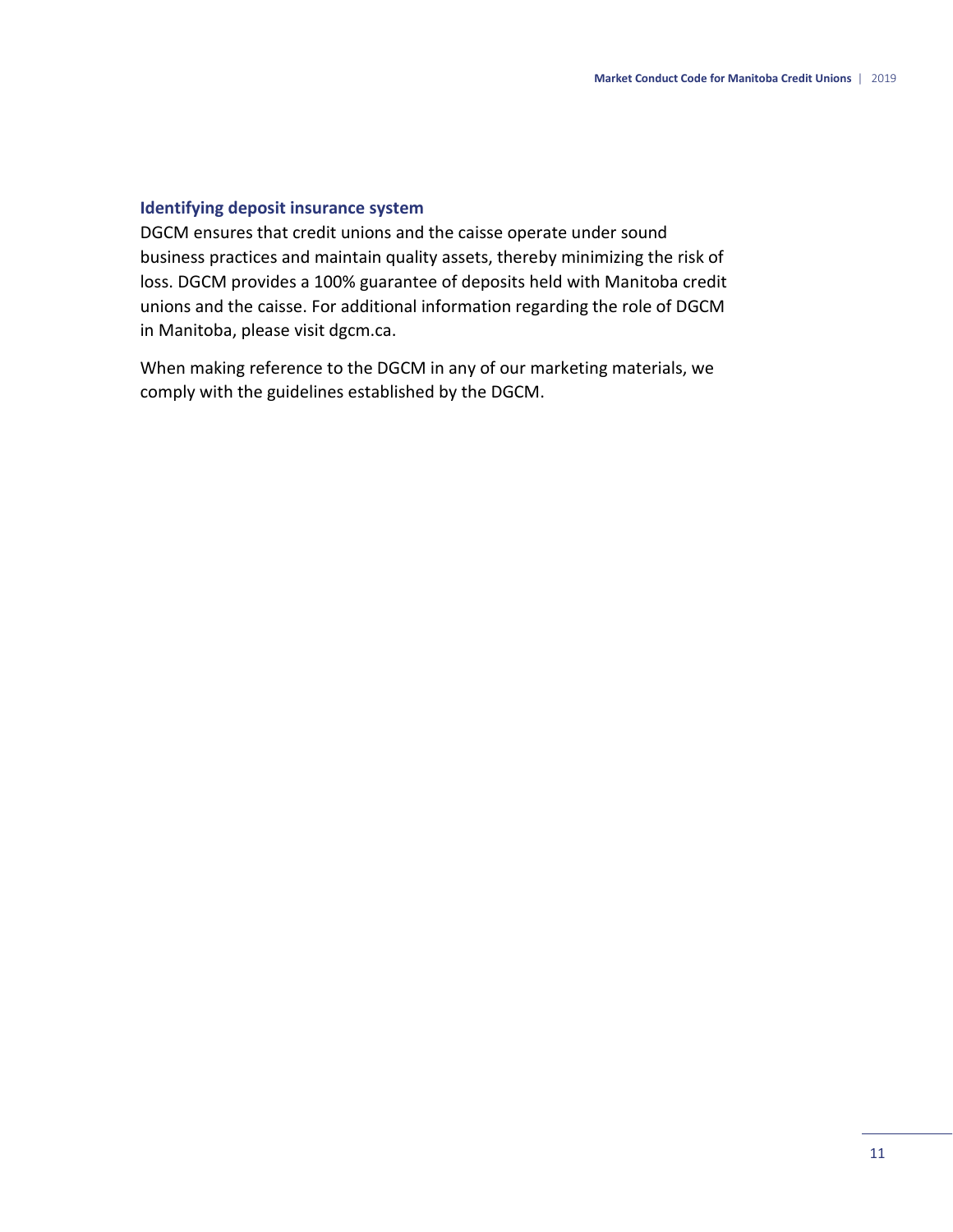### **Identifying deposit insurance system**

DGCM ensures that credit unions and the caisse operate under sound business practices and maintain quality assets, thereby minimizing the risk of loss. DGCM provides a 100% guarantee of deposits held with Manitoba credit unions and the caisse. For additional information regarding the role of DGCM in Manitoba, please visit dgcm.ca.

When making reference to the DGCM in any of our marketing materials, we comply with the guidelines established by the DGCM.